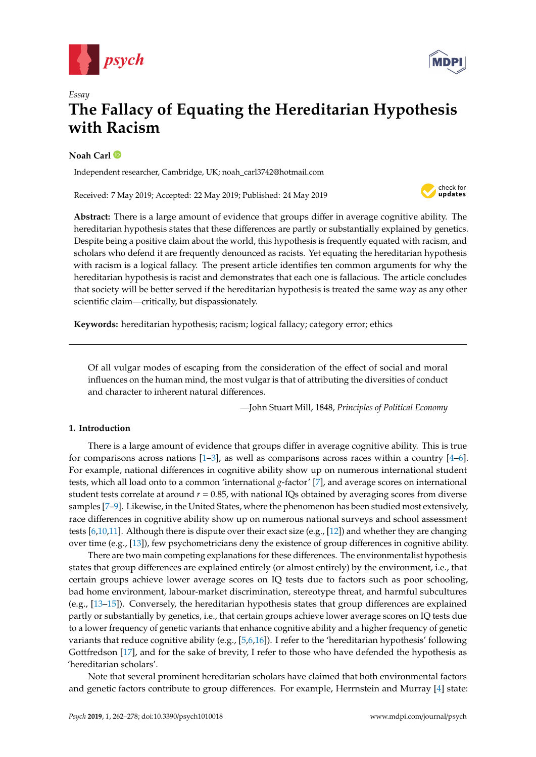



# *Essay* **The Fallacy of Equating the Hereditarian Hypothesis with Racism**

# **Noah Carl**

Independent researcher, Cambridge, UK; noah\_carl3742@hotmail.com

Received: 7 May 2019; Accepted: 22 May 2019; Published: 24 May 2019



**Abstract:** There is a large amount of evidence that groups differ in average cognitive ability. The hereditarian hypothesis states that these differences are partly or substantially explained by genetics. Despite being a positive claim about the world, this hypothesis is frequently equated with racism, and scholars who defend it are frequently denounced as racists. Yet equating the hereditarian hypothesis with racism is a logical fallacy. The present article identifies ten common arguments for why the hereditarian hypothesis is racist and demonstrates that each one is fallacious. The article concludes that society will be better served if the hereditarian hypothesis is treated the same way as any other scientific claim—critically, but dispassionately.

**Keywords:** hereditarian hypothesis; racism; logical fallacy; category error; ethics

Of all vulgar modes of escaping from the consideration of the effect of social and moral influences on the human mind, the most vulgar is that of attributing the diversities of conduct and character to inherent natural differences.

—John Stuart Mill, 1848, *Principles of Political Economy*

# **1. Introduction**

There is a large amount of evidence that groups differ in average cognitive ability. This is true for comparisons across nations  $[1-3]$  $[1-3]$ , as well as comparisons across races within a country  $[4-6]$  $[4-6]$ . For example, national differences in cognitive ability show up on numerous international student tests, which all load onto to a common 'international *g*-factor' [\[7\]](#page-11-4), and average scores on international student tests correlate at around  $r = 0.85$ , with national IQs obtained by averaging scores from diverse samples [\[7–](#page-11-4)[9\]](#page-11-5). Likewise, in the United States, where the phenomenon has been studied most extensively, race differences in cognitive ability show up on numerous national surveys and school assessment tests [\[6](#page-11-3)[,10](#page-11-6)[,11\]](#page-11-7). Although there is dispute over their exact size (e.g., [\[12\]](#page-11-8)) and whether they are changing over time (e.g., [\[13\]](#page-11-9)), few psychometricians deny the existence of group differences in cognitive ability.

There are two main competing explanations for these differences. The environmentalist hypothesis states that group differences are explained entirely (or almost entirely) by the environment, i.e., that certain groups achieve lower average scores on IQ tests due to factors such as poor schooling, bad home environment, labour-market discrimination, stereotype threat, and harmful subcultures (e.g., [\[13](#page-11-9)[–15\]](#page-11-10)). Conversely, the hereditarian hypothesis states that group differences are explained partly or substantially by genetics, i.e., that certain groups achieve lower average scores on IQ tests due to a lower frequency of genetic variants that enhance cognitive ability and a higher frequency of genetic variants that reduce cognitive ability (e.g., [\[5](#page-11-11)[,6](#page-11-3)[,16\]](#page-11-12)). I refer to the 'hereditarian hypothesis' following Gottfredson [\[17\]](#page-11-13), and for the sake of brevity, I refer to those who have defended the hypothesis as 'hereditarian scholars'.

Note that several prominent hereditarian scholars have claimed that both environmental factors and genetic factors contribute to group differences. For example, Herrnstein and Murray [\[4\]](#page-11-2) state: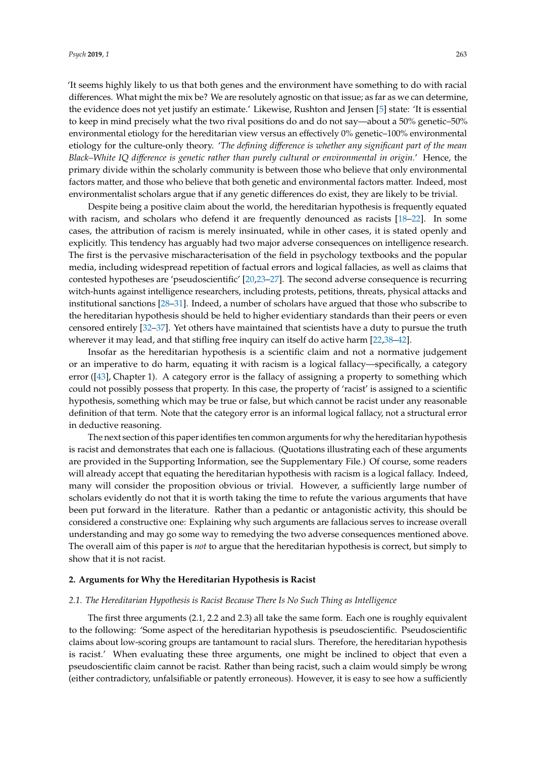'It seems highly likely to us that both genes and the environment have something to do with racial differences. What might the mix be? We are resolutely agnostic on that issue; as far as we can determine, the evidence does not yet justify an estimate.' Likewise, Rushton and Jensen [\[5\]](#page-11-11) state: 'It is essential to keep in mind precisely what the two rival positions do and do not say—about a 50% genetic–50% environmental etiology for the hereditarian view versus an effectively 0% genetic–100% environmental etiology for the culture-only theory. '*The defining di*ff*erence is whether any significant part of the mean Black–White IQ di*ff*erence is genetic rather than purely cultural or environmental in origin.*' Hence, the primary divide within the scholarly community is between those who believe that only environmental factors matter, and those who believe that both genetic and environmental factors matter. Indeed, most environmentalist scholars argue that if any genetic differences do exist, they are likely to be trivial.

Despite being a positive claim about the world, the hereditarian hypothesis is frequently equated with racism, and scholars who defend it are frequently denounced as racists [\[18](#page-11-14)[–22\]](#page-12-0). In some cases, the attribution of racism is merely insinuated, while in other cases, it is stated openly and explicitly. This tendency has arguably had two major adverse consequences on intelligence research. The first is the pervasive mischaracterisation of the field in psychology textbooks and the popular media, including widespread repetition of factual errors and logical fallacies, as well as claims that contested hypotheses are 'pseudoscientific' [\[20,](#page-11-15)[23](#page-12-1)[–27\]](#page-12-2). The second adverse consequence is recurring witch-hunts against intelligence researchers, including protests, petitions, threats, physical attacks and institutional sanctions [\[28–](#page-12-3)[31\]](#page-12-4). Indeed, a number of scholars have argued that those who subscribe to the hereditarian hypothesis should be held to higher evidentiary standards than their peers or even censored entirely [\[32–](#page-12-5)[37\]](#page-12-6). Yet others have maintained that scientists have a duty to pursue the truth wherever it may lead, and that stifling free inquiry can itself do active harm [\[22](#page-12-0)[,38–](#page-12-7)[42\]](#page-12-8).

Insofar as the hereditarian hypothesis is a scientific claim and not a normative judgement or an imperative to do harm, equating it with racism is a logical fallacy—specifically, a category error ([\[43\]](#page-12-9), Chapter 1). A category error is the fallacy of assigning a property to something which could not possibly possess that property. In this case, the property of 'racist' is assigned to a scientific hypothesis, something which may be true or false, but which cannot be racist under any reasonable definition of that term. Note that the category error is an informal logical fallacy, not a structural error in deductive reasoning.

The next section of this paper identifies ten common arguments for why the hereditarian hypothesis is racist and demonstrates that each one is fallacious. (Quotations illustrating each of these arguments are provided in the Supporting Information, see the Supplementary File.) Of course, some readers will already accept that equating the hereditarian hypothesis with racism is a logical fallacy. Indeed, many will consider the proposition obvious or trivial. However, a sufficiently large number of scholars evidently do not that it is worth taking the time to refute the various arguments that have been put forward in the literature. Rather than a pedantic or antagonistic activity, this should be considered a constructive one: Explaining why such arguments are fallacious serves to increase overall understanding and may go some way to remedying the two adverse consequences mentioned above. The overall aim of this paper is *not* to argue that the hereditarian hypothesis is correct, but simply to show that it is not racist.

#### **2. Arguments for Why the Hereditarian Hypothesis is Racist**

# *2.1. The Hereditarian Hypothesis is Racist Because There Is No Such Thing as Intelligence*

The first three arguments (2.1, 2.2 and 2.3) all take the same form. Each one is roughly equivalent to the following: 'Some aspect of the hereditarian hypothesis is pseudoscientific. Pseudoscientific claims about low-scoring groups are tantamount to racial slurs. Therefore, the hereditarian hypothesis is racist.' When evaluating these three arguments, one might be inclined to object that even a pseudoscientific claim cannot be racist. Rather than being racist, such a claim would simply be wrong (either contradictory, unfalsifiable or patently erroneous). However, it is easy to see how a sufficiently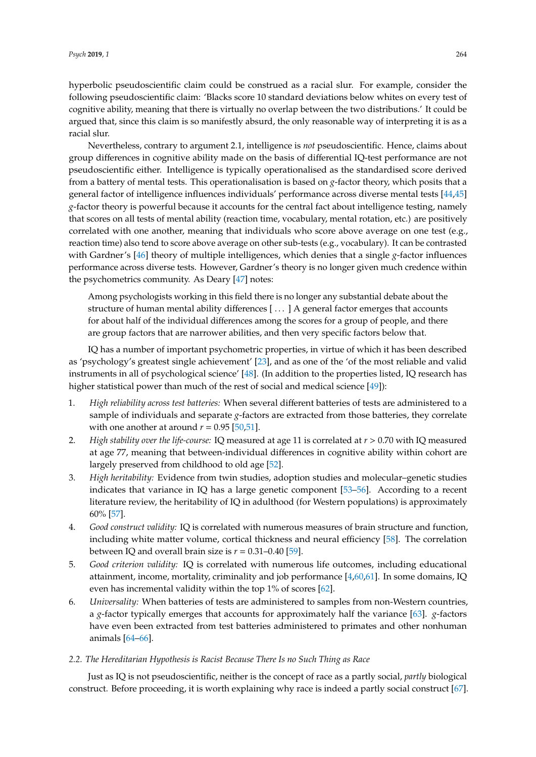hyperbolic pseudoscientific claim could be construed as a racial slur. For example, consider the following pseudoscientific claim: 'Blacks score 10 standard deviations below whites on every test of cognitive ability, meaning that there is virtually no overlap between the two distributions.' It could be argued that, since this claim is so manifestly absurd, the only reasonable way of interpreting it is as a racial slur.

Nevertheless, contrary to argument 2.1, intelligence is *not* pseudoscientific. Hence, claims about group differences in cognitive ability made on the basis of differential IQ-test performance are not pseudoscientific either. Intelligence is typically operationalised as the standardised score derived from a battery of mental tests. This operationalisation is based on *g*-factor theory, which posits that a general factor of intelligence influences individuals' performance across diverse mental tests [\[44](#page-12-10)[,45\]](#page-12-11) *g*-factor theory is powerful because it accounts for the central fact about intelligence testing, namely that scores on all tests of mental ability (reaction time, vocabulary, mental rotation, etc.) are positively correlated with one another, meaning that individuals who score above average on one test (e.g., reaction time) also tend to score above average on other sub-tests (e.g., vocabulary). It can be contrasted with Gardner's [\[46\]](#page-12-12) theory of multiple intelligences, which denies that a single *g*-factor influences performance across diverse tests. However, Gardner's theory is no longer given much credence within the psychometrics community. As Deary [\[47\]](#page-12-13) notes:

Among psychologists working in this field there is no longer any substantial debate about the structure of human mental ability differences [ . . . ] A general factor emerges that accounts for about half of the individual differences among the scores for a group of people, and there are group factors that are narrower abilities, and then very specific factors below that.

IQ has a number of important psychometric properties, in virtue of which it has been described as 'psychology's greatest single achievement' [\[23\]](#page-12-1), and as one of the 'of the most reliable and valid instruments in all of psychological science' [\[48\]](#page-12-14). (In addition to the properties listed, IQ research has higher statistical power than much of the rest of social and medical science [\[49\]](#page-12-15)):

- 1. *High reliability across test batteries:* When several different batteries of tests are administered to a sample of individuals and separate *g*-factors are extracted from those batteries, they correlate with one another at around  $r = 0.95$  [\[50](#page-12-16)[,51\]](#page-13-0).
- 2. *High stability over the life-course:* IQ measured at age 11 is correlated at *r* > 0.70 with IQ measured at age 77, meaning that between-individual differences in cognitive ability within cohort are largely preserved from childhood to old age [\[52\]](#page-13-1).
- 3. *High heritability:* Evidence from twin studies, adoption studies and molecular–genetic studies indicates that variance in IQ has a large genetic component [\[53–](#page-13-2)[56\]](#page-13-3). According to a recent literature review, the heritability of IQ in adulthood (for Western populations) is approximately 60% [\[57\]](#page-13-4).
- 4. *Good construct validity:* IQ is correlated with numerous measures of brain structure and function, including white matter volume, cortical thickness and neural efficiency [\[58\]](#page-13-5). The correlation between IQ and overall brain size is  $r = 0.31 - 0.40$  [\[59\]](#page-13-6).
- 5. *Good criterion validity:* IQ is correlated with numerous life outcomes, including educational attainment, income, mortality, criminality and job performance [\[4](#page-11-2)[,60](#page-13-7)[,61\]](#page-13-8). In some domains, IQ even has incremental validity within the top 1% of scores [\[62\]](#page-13-9).
- 6. *Universality:* When batteries of tests are administered to samples from non-Western countries, a *g*-factor typically emerges that accounts for approximately half the variance [\[63\]](#page-13-10). *g*-factors have even been extracted from test batteries administered to primates and other nonhuman animals [\[64–](#page-13-11)[66\]](#page-13-12).

#### *2.2. The Hereditarian Hypothesis is Racist Because There Is no Such Thing as Race*

Just as IQ is not pseudoscientific, neither is the concept of race as a partly social, *partly* biological construct. Before proceeding, it is worth explaining why race is indeed a partly social construct [\[67\]](#page-13-13).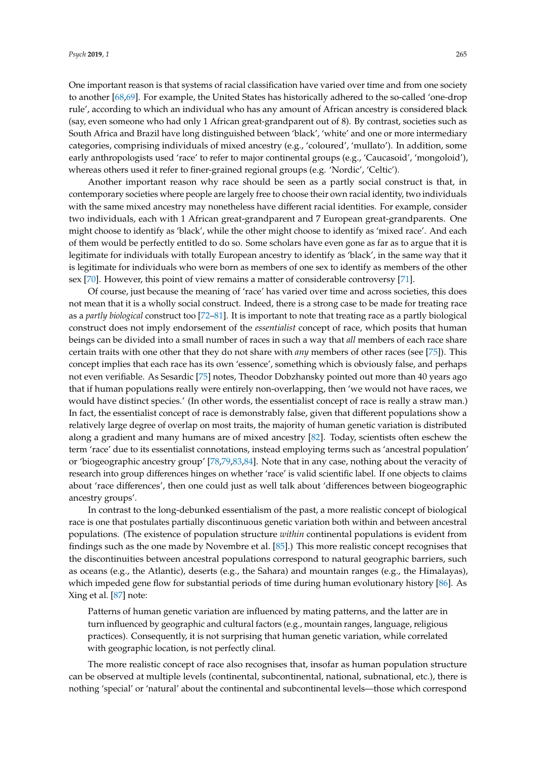One important reason is that systems of racial classification have varied over time and from one society to another [\[68,](#page-13-14)[69\]](#page-13-15). For example, the United States has historically adhered to the so-called 'one-drop rule', according to which an individual who has any amount of African ancestry is considered black (say, even someone who had only 1 African great-grandparent out of 8). By contrast, societies such as South Africa and Brazil have long distinguished between 'black', 'white' and one or more intermediary categories, comprising individuals of mixed ancestry (e.g., 'coloured', 'mullato'). In addition, some early anthropologists used 'race' to refer to major continental groups (e.g., 'Caucasoid', 'mongoloid'), whereas others used it refer to finer-grained regional groups (e.g. 'Nordic', 'Celtic').

Another important reason why race should be seen as a partly social construct is that, in contemporary societies where people are largely free to choose their own racial identity, two individuals with the same mixed ancestry may nonetheless have different racial identities. For example, consider two individuals, each with 1 African great-grandparent and 7 European great-grandparents. One might choose to identify as 'black', while the other might choose to identify as 'mixed race'. And each of them would be perfectly entitled to do so. Some scholars have even gone as far as to argue that it is legitimate for individuals with totally European ancestry to identify as 'black', in the same way that it is legitimate for individuals who were born as members of one sex to identify as members of the other sex [\[70\]](#page-13-16). However, this point of view remains a matter of considerable controversy [\[71\]](#page-13-17).

Of course, just because the meaning of 'race' has varied over time and across societies, this does not mean that it is a wholly social construct. Indeed, there is a strong case to be made for treating race as a *partly biological* construct too [\[72](#page-13-18)[–81\]](#page-13-19). It is important to note that treating race as a partly biological construct does not imply endorsement of the *essentialist* concept of race, which posits that human beings can be divided into a small number of races in such a way that *all* members of each race share certain traits with one other that they do not share with *any* members of other races (see [\[75\]](#page-13-20)). This concept implies that each race has its own 'essence', something which is obviously false, and perhaps not even verifiable. As Sesardic [\[75\]](#page-13-20) notes, Theodor Dobzhansky pointed out more than 40 years ago that if human populations really were entirely non-overlapping, then 'we would not have races, we would have distinct species.' (In other words, the essentialist concept of race is really a straw man.) In fact, the essentialist concept of race is demonstrably false, given that different populations show a relatively large degree of overlap on most traits, the majority of human genetic variation is distributed along a gradient and many humans are of mixed ancestry [\[82\]](#page-14-0). Today, scientists often eschew the term 'race' due to its essentialist connotations, instead employing terms such as 'ancestral population' or 'biogeographic ancestry group' [\[78,](#page-13-21)[79,](#page-13-22)[83,](#page-14-1)[84\]](#page-14-2). Note that in any case, nothing about the veracity of research into group differences hinges on whether 'race' is valid scientific label. If one objects to claims about 'race differences', then one could just as well talk about 'differences between biogeographic ancestry groups'.

In contrast to the long-debunked essentialism of the past, a more realistic concept of biological race is one that postulates partially discontinuous genetic variation both within and between ancestral populations. (The existence of population structure *within* continental populations is evident from findings such as the one made by Novembre et al. [\[85\]](#page-14-3).) This more realistic concept recognises that the discontinuities between ancestral populations correspond to natural geographic barriers, such as oceans (e.g., the Atlantic), deserts (e.g., the Sahara) and mountain ranges (e.g., the Himalayas), which impeded gene flow for substantial periods of time during human evolutionary history [\[86\]](#page-14-4). As Xing et al. [\[87\]](#page-14-5) note:

Patterns of human genetic variation are influenced by mating patterns, and the latter are in turn influenced by geographic and cultural factors (e.g., mountain ranges, language, religious practices). Consequently, it is not surprising that human genetic variation, while correlated with geographic location, is not perfectly clinal.

The more realistic concept of race also recognises that, insofar as human population structure can be observed at multiple levels (continental, subcontinental, national, subnational, etc.), there is nothing 'special' or 'natural' about the continental and subcontinental levels—those which correspond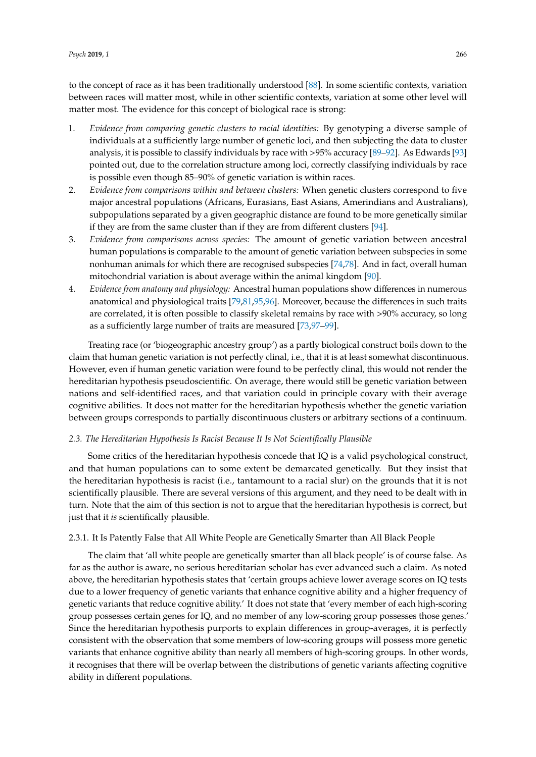to the concept of race as it has been traditionally understood [\[88\]](#page-14-6). In some scientific contexts, variation between races will matter most, while in other scientific contexts, variation at some other level will matter most. The evidence for this concept of biological race is strong:

- 1. *Evidence from comparing genetic clusters to racial identities:* By genotyping a diverse sample of individuals at a sufficiently large number of genetic loci, and then subjecting the data to cluster analysis, it is possible to classify individuals by race with >95% accuracy [\[89–](#page-14-7)[92\]](#page-14-8). As Edwards [\[93\]](#page-14-9) pointed out, due to the correlation structure among loci, correctly classifying individuals by race is possible even though 85–90% of genetic variation is within races.
- 2. *Evidence from comparisons within and between clusters:* When genetic clusters correspond to five major ancestral populations (Africans, Eurasians, East Asians, Amerindians and Australians), subpopulations separated by a given geographic distance are found to be more genetically similar if they are from the same cluster than if they are from different clusters [\[94\]](#page-14-10).
- 3. *Evidence from comparisons across species:* The amount of genetic variation between ancestral human populations is comparable to the amount of genetic variation between subspecies in some nonhuman animals for which there are recognised subspecies [\[74](#page-13-23)[,78\]](#page-13-21). And in fact, overall human mitochondrial variation is about average within the animal kingdom [\[90\]](#page-14-11).
- 4. *Evidence from anatomy and physiology:* Ancestral human populations show differences in numerous anatomical and physiological traits [\[79](#page-13-22)[,81](#page-13-19)[,95](#page-14-12)[,96\]](#page-14-13). Moreover, because the differences in such traits are correlated, it is often possible to classify skeletal remains by race with >90% accuracy, so long as a sufficiently large number of traits are measured [\[73](#page-13-24)[,97–](#page-14-14)[99\]](#page-14-15).

Treating race (or 'biogeographic ancestry group') as a partly biological construct boils down to the claim that human genetic variation is not perfectly clinal, i.e., that it is at least somewhat discontinuous. However, even if human genetic variation were found to be perfectly clinal, this would not render the hereditarian hypothesis pseudoscientific. On average, there would still be genetic variation between nations and self-identified races, and that variation could in principle covary with their average cognitive abilities. It does not matter for the hereditarian hypothesis whether the genetic variation between groups corresponds to partially discontinuous clusters or arbitrary sections of a continuum.

#### *2.3. The Hereditarian Hypothesis Is Racist Because It Is Not Scientifically Plausible*

Some critics of the hereditarian hypothesis concede that IQ is a valid psychological construct, and that human populations can to some extent be demarcated genetically. But they insist that the hereditarian hypothesis is racist (i.e., tantamount to a racial slur) on the grounds that it is not scientifically plausible. There are several versions of this argument, and they need to be dealt with in turn. Note that the aim of this section is not to argue that the hereditarian hypothesis is correct, but just that it *is* scientifically plausible.

### 2.3.1. It Is Patently False that All White People are Genetically Smarter than All Black People

The claim that 'all white people are genetically smarter than all black people' is of course false. As far as the author is aware, no serious hereditarian scholar has ever advanced such a claim. As noted above, the hereditarian hypothesis states that 'certain groups achieve lower average scores on IQ tests due to a lower frequency of genetic variants that enhance cognitive ability and a higher frequency of genetic variants that reduce cognitive ability.' It does not state that 'every member of each high-scoring group possesses certain genes for IQ, and no member of any low-scoring group possesses those genes.' Since the hereditarian hypothesis purports to explain differences in group-averages, it is perfectly consistent with the observation that some members of low-scoring groups will possess more genetic variants that enhance cognitive ability than nearly all members of high-scoring groups. In other words, it recognises that there will be overlap between the distributions of genetic variants affecting cognitive ability in different populations.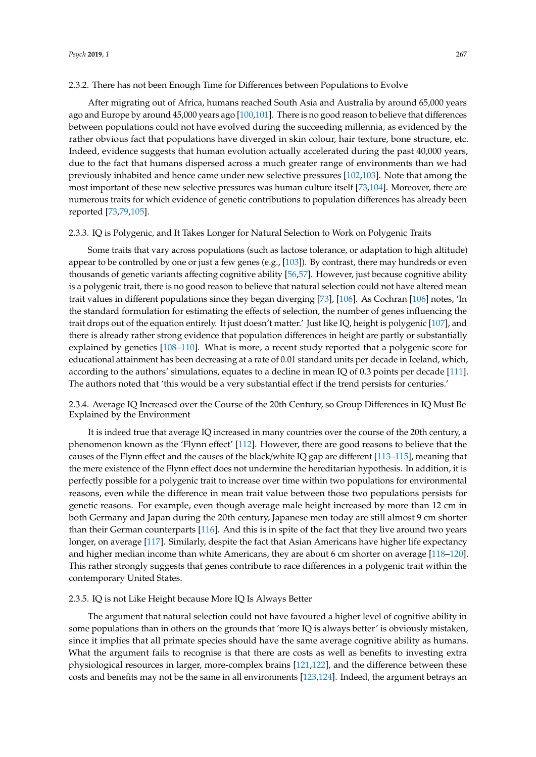After migrating out of Africa, humans reached South Asia and Australia by around 65,000 years ago and Europe by around 45,000 years ago [\[100](#page-14-16)[,101\]](#page-14-17). There is no good reason to believe that differences between populations could not have evolved during the succeeding millennia, as evidenced by the rather obvious fact that populations have diverged in skin colour, hair texture, bone structure, etc. Indeed, evidence suggests that human evolution actually accelerated during the past 40,000 years, due to the fact that humans dispersed across a much greater range of environments than we had previously inhabited and hence came under new selective pressures [\[102](#page-14-18)[,103\]](#page-14-19). Note that among the most important of these new selective pressures was human culture itself [\[73,](#page-13-24)[104\]](#page-14-20). Moreover, there are numerous traits for which evidence of genetic contributions to population differences has already been reported [\[73](#page-13-24)[,79](#page-13-22)[,105\]](#page-14-21).

#### 2.3.3. IQ is Polygenic, and It Takes Longer for Natural Selection to Work on Polygenic Traits

Some traits that vary across populations (such as lactose tolerance, or adaptation to high altitude) appear to be controlled by one or just a few genes (e.g., [\[103\]](#page-14-19)). By contrast, there may hundreds or even thousands of genetic variants affecting cognitive ability [\[56,](#page-13-3)[57\]](#page-13-4). However, just because cognitive ability is a polygenic trait, there is no good reason to believe that natural selection could not have altered mean trait values in different populations since they began diverging [\[73\]](#page-13-24), [\[106\]](#page-14-22). As Cochran [\[106\]](#page-14-22) notes, 'In the standard formulation for estimating the effects of selection, the number of genes influencing the trait drops out of the equation entirely. It just doesn't matter.' Just like IQ, height is polygenic [\[107\]](#page-15-0), and there is already rather strong evidence that population differences in height are partly or substantially explained by genetics [\[108](#page-15-1)[–110\]](#page-15-2). What is more, a recent study reported that a polygenic score for educational attainment has been decreasing at a rate of 0.01 standard units per decade in Iceland, which, according to the authors' simulations, equates to a decline in mean IQ of 0.3 points per decade [\[111\]](#page-15-3). The authors noted that 'this would be a very substantial effect if the trend persists for centuries.'

2.3.4. Average IQ Increased over the Course of the 20th Century, so Group Differences in IQ Must Be Explained by the Environment

It is indeed true that average IQ increased in many countries over the course of the 20th century, a phenomenon known as the 'Flynn effect' [\[112\]](#page-15-4). However, there are good reasons to believe that the causes of the Flynn effect and the causes of the black/white IQ gap are different [\[113–](#page-15-5)[115\]](#page-15-6), meaning that the mere existence of the Flynn effect does not undermine the hereditarian hypothesis. In addition, it is perfectly possible for a polygenic trait to increase over time within two populations for environmental reasons, even while the difference in mean trait value between those two populations persists for genetic reasons. For example, even though average male height increased by more than 12 cm in both Germany and Japan during the 20th century, Japanese men today are still almost 9 cm shorter than their German counterparts [\[116\]](#page-15-7). And this is in spite of the fact that they live around two years longer, on average [\[117\]](#page-15-8). Similarly, despite the fact that Asian Americans have higher life expectancy and higher median income than white Americans, they are about 6 cm shorter on average [\[118–](#page-15-9)[120\]](#page-15-10). This rather strongly suggests that genes contribute to race differences in a polygenic trait within the contemporary United States.

#### 2.3.5. IQ is not Like Height because More IQ Is Always Better

The argument that natural selection could not have favoured a higher level of cognitive ability in some populations than in others on the grounds that 'more IQ is always better' is obviously mistaken, since it implies that all primate species should have the same average cognitive ability as humans. What the argument fails to recognise is that there are costs as well as benefits to investing extra physiological resources in larger, more-complex brains [\[121,](#page-15-11)[122\]](#page-15-12), and the difference between these costs and benefits may not be the same in all environments [\[123,](#page-15-13)[124\]](#page-15-14). Indeed, the argument betrays an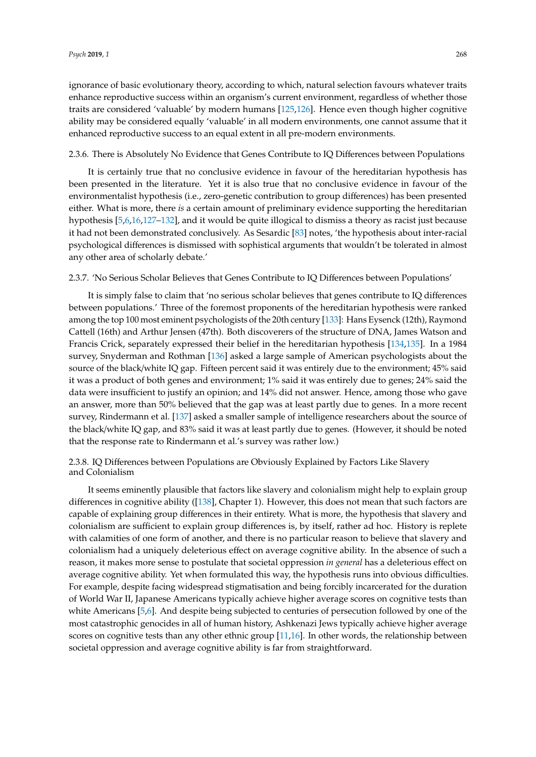ignorance of basic evolutionary theory, according to which, natural selection favours whatever traits enhance reproductive success within an organism's current environment, regardless of whether those traits are considered 'valuable' by modern humans [\[125,](#page-15-15)[126\]](#page-15-16). Hence even though higher cognitive ability may be considered equally 'valuable' in all modern environments, one cannot assume that it enhanced reproductive success to an equal extent in all pre-modern environments.

#### 2.3.6. There is Absolutely No Evidence that Genes Contribute to IQ Differences between Populations

It is certainly true that no conclusive evidence in favour of the hereditarian hypothesis has been presented in the literature. Yet it is also true that no conclusive evidence in favour of the environmentalist hypothesis (i.e., zero-genetic contribution to group differences) has been presented either. What is more, there *is* a certain amount of preliminary evidence supporting the hereditarian hypothesis [\[5](#page-11-11)[,6](#page-11-3)[,16](#page-11-12)[,127–](#page-15-17)[132\]](#page-16-0), and it would be quite illogical to dismiss a theory as racist just because it had not been demonstrated conclusively. As Sesardic [\[83\]](#page-14-1) notes, 'the hypothesis about inter-racial psychological differences is dismissed with sophistical arguments that wouldn't be tolerated in almost any other area of scholarly debate.'

#### 2.3.7. 'No Serious Scholar Believes that Genes Contribute to IQ Differences between Populations'

It is simply false to claim that 'no serious scholar believes that genes contribute to IQ differences between populations.' Three of the foremost proponents of the hereditarian hypothesis were ranked among the top 100 most eminent psychologists of the 20th century [\[133\]](#page-16-1): Hans Eysenck (12th), Raymond Cattell (16th) and Arthur Jensen (47th). Both discoverers of the structure of DNA, James Watson and Francis Crick, separately expressed their belief in the hereditarian hypothesis [\[134,](#page-16-2)[135\]](#page-16-3). In a 1984 survey, Snyderman and Rothman [\[136\]](#page-16-4) asked a large sample of American psychologists about the source of the black/white IQ gap. Fifteen percent said it was entirely due to the environment; 45% said it was a product of both genes and environment; 1% said it was entirely due to genes; 24% said the data were insufficient to justify an opinion; and 14% did not answer. Hence, among those who gave an answer, more than 50% believed that the gap was at least partly due to genes. In a more recent survey, Rindermann et al. [\[137\]](#page-16-5) asked a smaller sample of intelligence researchers about the source of the black/white IQ gap, and 83% said it was at least partly due to genes. (However, it should be noted that the response rate to Rindermann et al.'s survey was rather low.)

# 2.3.8. IQ Differences between Populations are Obviously Explained by Factors Like Slavery and Colonialism

It seems eminently plausible that factors like slavery and colonialism might help to explain group differences in cognitive ability ([\[138\]](#page-16-6), Chapter 1). However, this does not mean that such factors are capable of explaining group differences in their entirety. What is more, the hypothesis that slavery and colonialism are sufficient to explain group differences is, by itself, rather ad hoc. History is replete with calamities of one form of another, and there is no particular reason to believe that slavery and colonialism had a uniquely deleterious effect on average cognitive ability. In the absence of such a reason, it makes more sense to postulate that societal oppression *in general* has a deleterious effect on average cognitive ability. Yet when formulated this way, the hypothesis runs into obvious difficulties. For example, despite facing widespread stigmatisation and being forcibly incarcerated for the duration of World War II, Japanese Americans typically achieve higher average scores on cognitive tests than white Americans [\[5](#page-11-11)[,6\]](#page-11-3). And despite being subjected to centuries of persecution followed by one of the most catastrophic genocides in all of human history, Ashkenazi Jews typically achieve higher average scores on cognitive tests than any other ethnic group [\[11,](#page-11-7)[16\]](#page-11-12). In other words, the relationship between societal oppression and average cognitive ability is far from straightforward.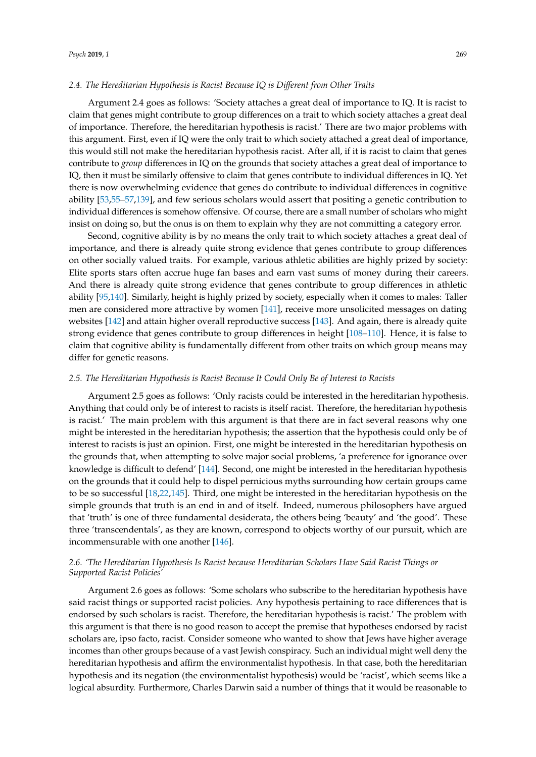#### *2.4. The Hereditarian Hypothesis is Racist Because IQ is Di*ff*erent from Other Traits*

Argument 2.4 goes as follows: 'Society attaches a great deal of importance to IQ. It is racist to claim that genes might contribute to group differences on a trait to which society attaches a great deal of importance. Therefore, the hereditarian hypothesis is racist.' There are two major problems with this argument. First, even if IQ were the only trait to which society attached a great deal of importance, this would still not make the hereditarian hypothesis racist. After all, if it is racist to claim that genes contribute to *group* differences in IQ on the grounds that society attaches a great deal of importance to IQ, then it must be similarly offensive to claim that genes contribute to individual differences in IQ. Yet there is now overwhelming evidence that genes do contribute to individual differences in cognitive ability [\[53,](#page-13-2)[55–](#page-13-25)[57,](#page-13-4)[139\]](#page-16-7), and few serious scholars would assert that positing a genetic contribution to individual differences is somehow offensive. Of course, there are a small number of scholars who might insist on doing so, but the onus is on them to explain why they are not committing a category error.

Second, cognitive ability is by no means the only trait to which society attaches a great deal of importance, and there is already quite strong evidence that genes contribute to group differences on other socially valued traits. For example, various athletic abilities are highly prized by society: Elite sports stars often accrue huge fan bases and earn vast sums of money during their careers. And there is already quite strong evidence that genes contribute to group differences in athletic ability [\[95,](#page-14-12)[140\]](#page-16-8). Similarly, height is highly prized by society, especially when it comes to males: Taller men are considered more attractive by women [\[141\]](#page-16-9), receive more unsolicited messages on dating websites [\[142\]](#page-16-10) and attain higher overall reproductive success [\[143\]](#page-16-11). And again, there is already quite strong evidence that genes contribute to group differences in height [\[108–](#page-15-1)[110\]](#page-15-2). Hence, it is false to claim that cognitive ability is fundamentally different from other traits on which group means may differ for genetic reasons.

#### *2.5. The Hereditarian Hypothesis is Racist Because It Could Only Be of Interest to Racists*

Argument 2.5 goes as follows: 'Only racists could be interested in the hereditarian hypothesis. Anything that could only be of interest to racists is itself racist. Therefore, the hereditarian hypothesis is racist.' The main problem with this argument is that there are in fact several reasons why one might be interested in the hereditarian hypothesis; the assertion that the hypothesis could only be of interest to racists is just an opinion. First, one might be interested in the hereditarian hypothesis on the grounds that, when attempting to solve major social problems, 'a preference for ignorance over knowledge is difficult to defend' [\[144\]](#page-16-12). Second, one might be interested in the hereditarian hypothesis on the grounds that it could help to dispel pernicious myths surrounding how certain groups came to be so successful [\[18](#page-11-14)[,22](#page-12-0)[,145\]](#page-16-13). Third, one might be interested in the hereditarian hypothesis on the simple grounds that truth is an end in and of itself. Indeed, numerous philosophers have argued that 'truth' is one of three fundamental desiderata, the others being 'beauty' and 'the good'. These three 'transcendentals', as they are known, correspond to objects worthy of our pursuit, which are incommensurable with one another [\[146\]](#page-16-14).

## *2.6. 'The Hereditarian Hypothesis Is Racist because Hereditarian Scholars Have Said Racist Things or Supported Racist Policies'*

Argument 2.6 goes as follows: 'Some scholars who subscribe to the hereditarian hypothesis have said racist things or supported racist policies. Any hypothesis pertaining to race differences that is endorsed by such scholars is racist. Therefore, the hereditarian hypothesis is racist.' The problem with this argument is that there is no good reason to accept the premise that hypotheses endorsed by racist scholars are, ipso facto, racist. Consider someone who wanted to show that Jews have higher average incomes than other groups because of a vast Jewish conspiracy. Such an individual might well deny the hereditarian hypothesis and affirm the environmentalist hypothesis. In that case, both the hereditarian hypothesis and its negation (the environmentalist hypothesis) would be 'racist', which seems like a logical absurdity. Furthermore, Charles Darwin said a number of things that it would be reasonable to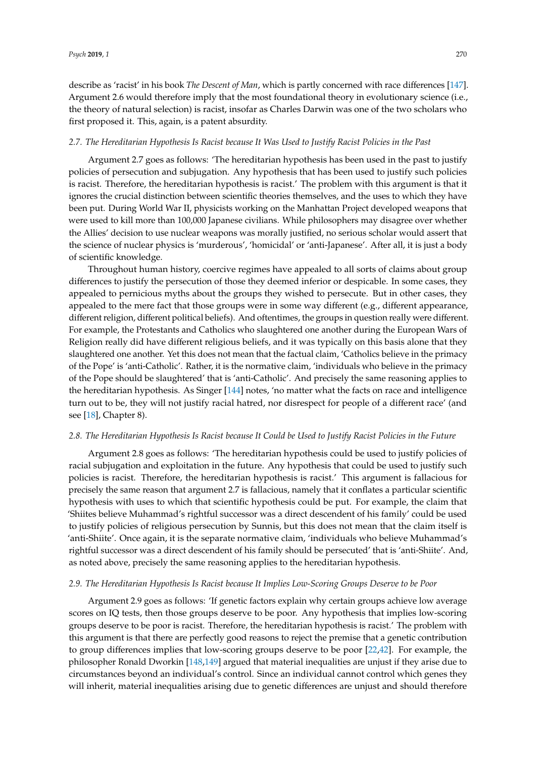describe as 'racist' in his book *The Descent of Man*, which is partly concerned with race differences [\[147\]](#page-16-15). Argument 2.6 would therefore imply that the most foundational theory in evolutionary science (i.e., the theory of natural selection) is racist, insofar as Charles Darwin was one of the two scholars who first proposed it. This, again, is a patent absurdity.

#### *2.7. The Hereditarian Hypothesis Is Racist because It Was Used to Justify Racist Policies in the Past*

Argument 2.7 goes as follows: 'The hereditarian hypothesis has been used in the past to justify policies of persecution and subjugation. Any hypothesis that has been used to justify such policies is racist. Therefore, the hereditarian hypothesis is racist.' The problem with this argument is that it ignores the crucial distinction between scientific theories themselves, and the uses to which they have been put. During World War II, physicists working on the Manhattan Project developed weapons that were used to kill more than 100,000 Japanese civilians. While philosophers may disagree over whether the Allies' decision to use nuclear weapons was morally justified, no serious scholar would assert that the science of nuclear physics is 'murderous', 'homicidal' or 'anti-Japanese'. After all, it is just a body of scientific knowledge.

Throughout human history, coercive regimes have appealed to all sorts of claims about group differences to justify the persecution of those they deemed inferior or despicable. In some cases, they appealed to pernicious myths about the groups they wished to persecute. But in other cases, they appealed to the mere fact that those groups were in some way different (e.g., different appearance, different religion, different political beliefs). And oftentimes, the groups in question really were different. For example, the Protestants and Catholics who slaughtered one another during the European Wars of Religion really did have different religious beliefs, and it was typically on this basis alone that they slaughtered one another. Yet this does not mean that the factual claim, 'Catholics believe in the primacy of the Pope' is 'anti-Catholic'. Rather, it is the normative claim, 'individuals who believe in the primacy of the Pope should be slaughtered' that is 'anti-Catholic'. And precisely the same reasoning applies to the hereditarian hypothesis. As Singer [\[144\]](#page-16-12) notes, 'no matter what the facts on race and intelligence turn out to be, they will not justify racial hatred, nor disrespect for people of a different race' (and see [\[18\]](#page-11-14), Chapter 8).

#### *2.8. The Hereditarian Hypothesis Is Racist because It Could be Used to Justify Racist Policies in the Future*

Argument 2.8 goes as follows: 'The hereditarian hypothesis could be used to justify policies of racial subjugation and exploitation in the future. Any hypothesis that could be used to justify such policies is racist. Therefore, the hereditarian hypothesis is racist.' This argument is fallacious for precisely the same reason that argument 2.7 is fallacious, namely that it conflates a particular scientific hypothesis with uses to which that scientific hypothesis could be put. For example, the claim that 'Shiites believe Muhammad's rightful successor was a direct descendent of his family' could be used to justify policies of religious persecution by Sunnis, but this does not mean that the claim itself is 'anti-Shiite'. Once again, it is the separate normative claim, 'individuals who believe Muhammad's rightful successor was a direct descendent of his family should be persecuted' that is 'anti-Shiite'. And, as noted above, precisely the same reasoning applies to the hereditarian hypothesis.

#### *2.9. The Hereditarian Hypothesis Is Racist because It Implies Low-Scoring Groups Deserve to be Poor*

Argument 2.9 goes as follows: 'If genetic factors explain why certain groups achieve low average scores on IQ tests, then those groups deserve to be poor. Any hypothesis that implies low-scoring groups deserve to be poor is racist. Therefore, the hereditarian hypothesis is racist.' The problem with this argument is that there are perfectly good reasons to reject the premise that a genetic contribution to group differences implies that low-scoring groups deserve to be poor [\[22,](#page-12-0)[42\]](#page-12-8). For example, the philosopher Ronald Dworkin [\[148](#page-16-16)[,149\]](#page-16-17) argued that material inequalities are unjust if they arise due to circumstances beyond an individual's control. Since an individual cannot control which genes they will inherit, material inequalities arising due to genetic differences are unjust and should therefore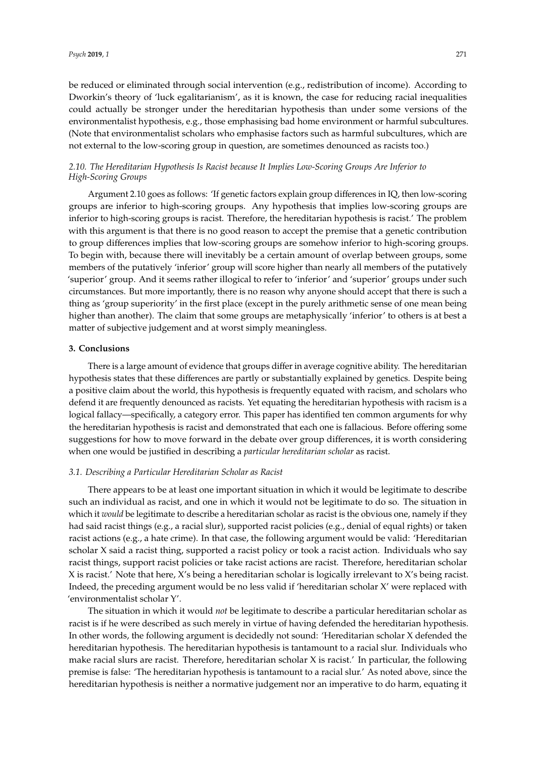be reduced or eliminated through social intervention (e.g., redistribution of income). According to Dworkin's theory of 'luck egalitarianism', as it is known, the case for reducing racial inequalities could actually be stronger under the hereditarian hypothesis than under some versions of the environmentalist hypothesis, e.g., those emphasising bad home environment or harmful subcultures. (Note that environmentalist scholars who emphasise factors such as harmful subcultures, which are not external to the low-scoring group in question, are sometimes denounced as racists too.)

# *2.10. The Hereditarian Hypothesis Is Racist because It Implies Low-Scoring Groups Are Inferior to High-Scoring Groups*

Argument 2.10 goes as follows: 'If genetic factors explain group differences in IQ, then low-scoring groups are inferior to high-scoring groups. Any hypothesis that implies low-scoring groups are inferior to high-scoring groups is racist. Therefore, the hereditarian hypothesis is racist.' The problem with this argument is that there is no good reason to accept the premise that a genetic contribution to group differences implies that low-scoring groups are somehow inferior to high-scoring groups. To begin with, because there will inevitably be a certain amount of overlap between groups, some members of the putatively 'inferior' group will score higher than nearly all members of the putatively 'superior' group. And it seems rather illogical to refer to 'inferior' and 'superior' groups under such circumstances. But more importantly, there is no reason why anyone should accept that there is such a thing as 'group superiority' in the first place (except in the purely arithmetic sense of one mean being higher than another). The claim that some groups are metaphysically 'inferior' to others is at best a matter of subjective judgement and at worst simply meaningless.

## **3. Conclusions**

There is a large amount of evidence that groups differ in average cognitive ability. The hereditarian hypothesis states that these differences are partly or substantially explained by genetics. Despite being a positive claim about the world, this hypothesis is frequently equated with racism, and scholars who defend it are frequently denounced as racists. Yet equating the hereditarian hypothesis with racism is a logical fallacy—specifically, a category error. This paper has identified ten common arguments for why the hereditarian hypothesis is racist and demonstrated that each one is fallacious. Before offering some suggestions for how to move forward in the debate over group differences, it is worth considering when one would be justified in describing a *particular hereditarian scholar* as racist.

#### *3.1. Describing a Particular Hereditarian Scholar as Racist*

There appears to be at least one important situation in which it would be legitimate to describe such an individual as racist, and one in which it would not be legitimate to do so. The situation in which it *would* be legitimate to describe a hereditarian scholar as racist is the obvious one, namely if they had said racist things (e.g., a racial slur), supported racist policies (e.g., denial of equal rights) or taken racist actions (e.g., a hate crime). In that case, the following argument would be valid: 'Hereditarian scholar X said a racist thing, supported a racist policy or took a racist action. Individuals who say racist things, support racist policies or take racist actions are racist. Therefore, hereditarian scholar X is racist.' Note that here, X's being a hereditarian scholar is logically irrelevant to X's being racist. Indeed, the preceding argument would be no less valid if 'hereditarian scholar X' were replaced with 'environmentalist scholar Y'.

The situation in which it would *not* be legitimate to describe a particular hereditarian scholar as racist is if he were described as such merely in virtue of having defended the hereditarian hypothesis. In other words, the following argument is decidedly not sound: 'Hereditarian scholar X defended the hereditarian hypothesis. The hereditarian hypothesis is tantamount to a racial slur. Individuals who make racial slurs are racist. Therefore, hereditarian scholar X is racist.' In particular, the following premise is false: 'The hereditarian hypothesis is tantamount to a racial slur.' As noted above, since the hereditarian hypothesis is neither a normative judgement nor an imperative to do harm, equating it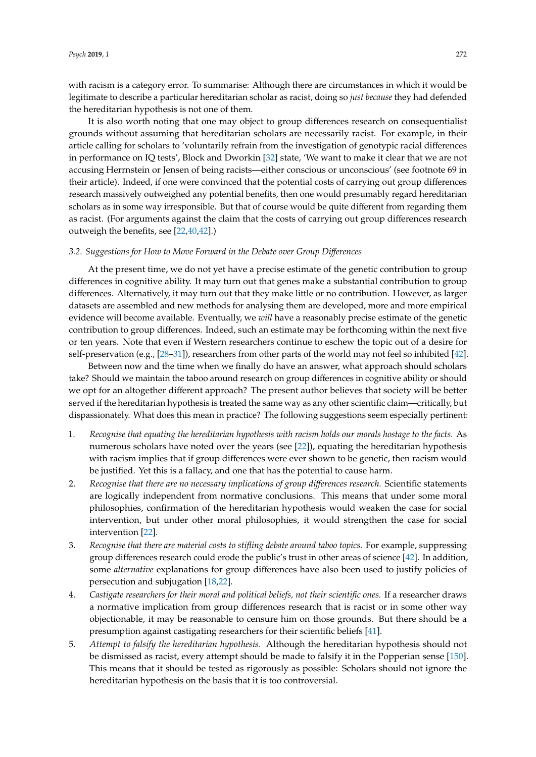with racism is a category error. To summarise: Although there are circumstances in which it would be legitimate to describe a particular hereditarian scholar as racist, doing so *just because* they had defended the hereditarian hypothesis is not one of them.

It is also worth noting that one may object to group differences research on consequentialist grounds without assuming that hereditarian scholars are necessarily racist. For example, in their article calling for scholars to 'voluntarily refrain from the investigation of genotypic racial differences in performance on IQ tests', Block and Dworkin [\[32\]](#page-12-5) state, 'We want to make it clear that we are not accusing Herrnstein or Jensen of being racists—either conscious or unconscious' (see footnote 69 in their article). Indeed, if one were convinced that the potential costs of carrying out group differences research massively outweighed any potential benefits, then one would presumably regard hereditarian scholars as in some way irresponsible. But that of course would be quite different from regarding them as racist. (For arguments against the claim that the costs of carrying out group differences research outweigh the benefits, see [\[22,](#page-12-0)[40,](#page-12-17)[42\]](#page-12-8).)

#### *3.2. Suggestions for How to Move Forward in the Debate over Group Di*ff*erences*

At the present time, we do not yet have a precise estimate of the genetic contribution to group differences in cognitive ability. It may turn out that genes make a substantial contribution to group differences. Alternatively, it may turn out that they make little or no contribution. However, as larger datasets are assembled and new methods for analysing them are developed, more and more empirical evidence will become available. Eventually, we *will* have a reasonably precise estimate of the genetic contribution to group differences. Indeed, such an estimate may be forthcoming within the next five or ten years. Note that even if Western researchers continue to eschew the topic out of a desire for self-preservation (e.g., [\[28–](#page-12-3)[31\]](#page-12-4)), researchers from other parts of the world may not feel so inhibited [\[42\]](#page-12-8).

Between now and the time when we finally do have an answer, what approach should scholars take? Should we maintain the taboo around research on group differences in cognitive ability or should we opt for an altogether different approach? The present author believes that society will be better served if the hereditarian hypothesis is treated the same way as any other scientific claim—critically, but dispassionately. What does this mean in practice? The following suggestions seem especially pertinent:

- 1. *Recognise that equating the hereditarian hypothesis with racism holds our morals hostage to the facts.* As numerous scholars have noted over the years (see [\[22\]](#page-12-0)), equating the hereditarian hypothesis with racism implies that if group differences were ever shown to be genetic, then racism would be justified. Yet this is a fallacy, and one that has the potential to cause harm.
- 2. *Recognise that there are no necessary implications of group di*ff*erences research.* Scientific statements are logically independent from normative conclusions. This means that under some moral philosophies, confirmation of the hereditarian hypothesis would weaken the case for social intervention, but under other moral philosophies, it would strengthen the case for social intervention [\[22\]](#page-12-0).
- 3. *Recognise that there are material costs to stifling debate around taboo topics.* For example, suppressing group differences research could erode the public's trust in other areas of science [\[42\]](#page-12-8). In addition, some *alternative* explanations for group differences have also been used to justify policies of persecution and subjugation [\[18](#page-11-14)[,22\]](#page-12-0).
- 4. *Castigate researchers for their moral and political beliefs, not their scientific ones.* If a researcher draws a normative implication from group differences research that is racist or in some other way objectionable, it may be reasonable to censure him on those grounds. But there should be a presumption against castigating researchers for their scientific beliefs [\[41\]](#page-12-18).
- 5. *Attempt to falsify the hereditarian hypothesis.* Although the hereditarian hypothesis should not be dismissed as racist, every attempt should be made to falsify it in the Popperian sense [\[150\]](#page-16-18). This means that it should be tested as rigorously as possible: Scholars should not ignore the hereditarian hypothesis on the basis that it is too controversial.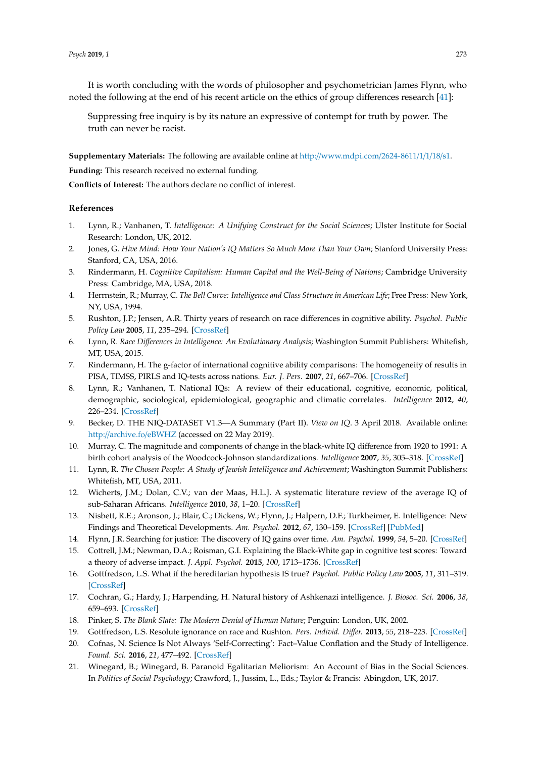It is worth concluding with the words of philosopher and psychometrician James Flynn, who noted the following at the end of his recent article on the ethics of group differences research [\[41\]](#page-12-18):

Suppressing free inquiry is by its nature an expressive of contempt for truth by power. The truth can never be racist.

**Supplementary Materials:** The following are available online at http://[www.mdpi.com](http://www.mdpi.com/2624-8611/1/1/18/s1)/2624-8611/1/1/18/s1.

**Funding:** This research received no external funding.

**Conflicts of Interest:** The authors declare no conflict of interest.

#### **References**

- <span id="page-11-0"></span>1. Lynn, R.; Vanhanen, T. *Intelligence: A Unifying Construct for the Social Sciences*; Ulster Institute for Social Research: London, UK, 2012.
- 2. Jones, G. *Hive Mind: How Your Nation's IQ Matters So Much More Than Your Own*; Stanford University Press: Stanford, CA, USA, 2016.
- <span id="page-11-1"></span>3. Rindermann, H. *Cognitive Capitalism: Human Capital and the Well-Being of Nations*; Cambridge University Press: Cambridge, MA, USA, 2018.
- <span id="page-11-2"></span>4. Herrnstein, R.; Murray, C. *The Bell Curve: Intelligence and Class Structure in American Life*; Free Press: New York, NY, USA, 1994.
- <span id="page-11-11"></span>5. Rushton, J.P.; Jensen, A.R. Thirty years of research on race differences in cognitive ability. *Psychol. Public Policy Law* **2005**, *11*, 235–294. [\[CrossRef\]](http://dx.doi.org/10.1037/1076-8971.11.2.235)
- <span id="page-11-3"></span>6. Lynn, R. *Race Di*ff*erences in Intelligence: An Evolutionary Analysis*; Washington Summit Publishers: Whitefish, MT, USA, 2015.
- <span id="page-11-4"></span>7. Rindermann, H. The g-factor of international cognitive ability comparisons: The homogeneity of results in PISA, TIMSS, PIRLS and IQ-tests across nations. *Eur. J. Pers.* **2007**, *21*, 667–706. [\[CrossRef\]](http://dx.doi.org/10.1002/per.634)
- 8. Lynn, R.; Vanhanen, T. National IQs: A review of their educational, cognitive, economic, political, demographic, sociological, epidemiological, geographic and climatic correlates. *Intelligence* **2012**, *40*, 226–234. [\[CrossRef\]](http://dx.doi.org/10.1016/j.intell.2011.11.004)
- <span id="page-11-5"></span>9. Becker, D. THE NIQ-DATASET V1.3—A Summary (Part II). *View on IQ*. 3 April 2018. Available online: http://[archive.fo](http://archive.fo/eBWHZ)/eBWHZ (accessed on 22 May 2019).
- <span id="page-11-6"></span>10. Murray, C. The magnitude and components of change in the black-white IQ difference from 1920 to 1991: A birth cohort analysis of the Woodcock-Johnson standardizations. *Intelligence* **2007**, *35*, 305–318. [\[CrossRef\]](http://dx.doi.org/10.1016/j.intell.2007.02.001)
- <span id="page-11-7"></span>11. Lynn, R. *The Chosen People: A Study of Jewish Intelligence and Achievement*; Washington Summit Publishers: Whitefish, MT, USA, 2011.
- <span id="page-11-8"></span>12. Wicherts, J.M.; Dolan, C.V.; van der Maas, H.L.J. A systematic literature review of the average IQ of sub-Saharan Africans. *Intelligence* **2010**, *38*, 1–20. [\[CrossRef\]](http://dx.doi.org/10.1016/j.intell.2009.05.002)
- <span id="page-11-9"></span>13. Nisbett, R.E.; Aronson, J.; Blair, C.; Dickens, W.; Flynn, J.; Halpern, D.F.; Turkheimer, E. Intelligence: New Findings and Theoretical Developments. *Am. Psychol.* **2012**, *67*, 130–159. [\[CrossRef\]](http://dx.doi.org/10.1037/a0026699) [\[PubMed\]](http://www.ncbi.nlm.nih.gov/pubmed/22233090)
- 14. Flynn, J.R. Searching for justice: The discovery of IQ gains over time. *Am. Psychol.* **1999**, *54*, 5–20. [\[CrossRef\]](http://dx.doi.org/10.1037/0003-066X.54.1.5)
- <span id="page-11-10"></span>15. Cottrell, J.M.; Newman, D.A.; Roisman, G.I. Explaining the Black-White gap in cognitive test scores: Toward a theory of adverse impact. *J. Appl. Psychol.* **2015**, *100*, 1713–1736. [\[CrossRef\]](http://dx.doi.org/10.1037/apl0000020)
- <span id="page-11-12"></span>16. Gottfredson, L.S. What if the hereditarian hypothesis IS true? *Psychol. Public Policy Law* **2005**, *11*, 311–319. [\[CrossRef\]](http://dx.doi.org/10.1037/1076-8971.11.2.311)
- <span id="page-11-13"></span>17. Cochran, G.; Hardy, J.; Harpending, H. Natural history of Ashkenazi intelligence. *J. Biosoc. Sci.* **2006**, *38*, 659–693. [\[CrossRef\]](http://dx.doi.org/10.1017/S0021932005027069)
- <span id="page-11-14"></span>18. Pinker, S. *The Blank Slate: The Modern Denial of Human Nature*; Penguin: London, UK, 2002.
- 19. Gottfredson, L.S. Resolute ignorance on race and Rushton. *Pers. Individ. Di*ff*er.* **2013**, *55*, 218–223. [\[CrossRef\]](http://dx.doi.org/10.1016/j.paid.2012.10.021)
- <span id="page-11-15"></span>20. Cofnas, N. Science Is Not Always 'Self-Correcting': Fact–Value Conflation and the Study of Intelligence. *Found. Sci.* **2016**, *21*, 477–492. [\[CrossRef\]](http://dx.doi.org/10.1007/s10699-015-9421-3)
- 21. Winegard, B.; Winegard, B. Paranoid Egalitarian Meliorism: An Account of Bias in the Social Sciences. In *Politics of Social Psychology*; Crawford, J., Jussim, L., Eds.; Taylor & Francis: Abingdon, UK, 2017.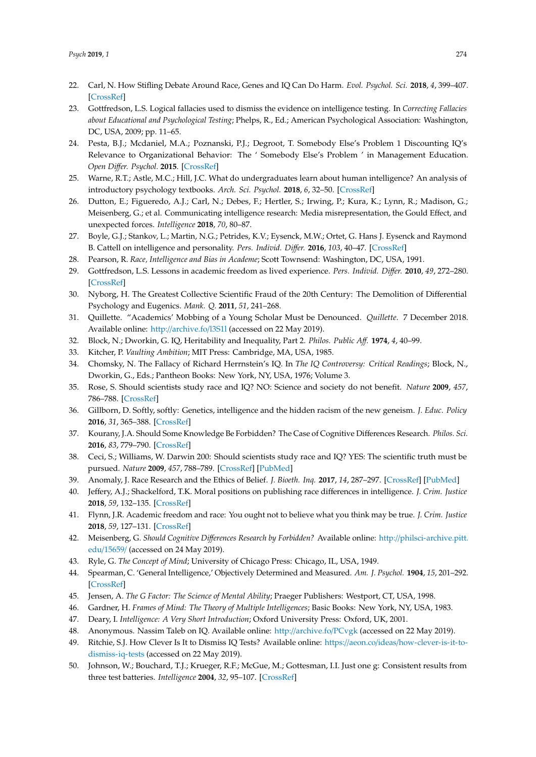- <span id="page-12-0"></span>22. Carl, N. How Stifling Debate Around Race, Genes and IQ Can Do Harm. *Evol. Psychol. Sci.* **2018**, *4*, 399–407. [\[CrossRef\]](http://dx.doi.org/10.1007/s40806-018-0152-x)
- <span id="page-12-1"></span>23. Gottfredson, L.S. Logical fallacies used to dismiss the evidence on intelligence testing. In *Correcting Fallacies about Educational and Psychological Testing*; Phelps, R., Ed.; American Psychological Association: Washington, DC, USA, 2009; pp. 11–65.
- 24. Pesta, B.J.; Mcdaniel, M.A.; Poznanski, P.J.; Degroot, T. Somebody Else's Problem 1 Discounting IQ's Relevance to Organizational Behavior: The ' Somebody Else's Problem ' in Management Education. *Open Di*ff*er. Psychol.* **2015**. [\[CrossRef\]](http://dx.doi.org/10.26775/ODP.2015.05.26)
- 25. Warne, R.T.; Astle, M.C.; Hill, J.C. What do undergraduates learn about human intelligence? An analysis of introductory psychology textbooks. *Arch. Sci. Psychol.* **2018**, *6*, 32–50. [\[CrossRef\]](http://dx.doi.org/10.1037/arc0000038)
- 26. Dutton, E.; Figueredo, A.J.; Carl, N.; Debes, F.; Hertler, S.; Irwing, P.; Kura, K.; Lynn, R.; Madison, G.; Meisenberg, G.; et al. Communicating intelligence research: Media misrepresentation, the Gould Effect, and unexpected forces. *Intelligence* **2018**, *70*, 80–87.
- <span id="page-12-2"></span>27. Boyle, G.J.; Stankov, L.; Martin, N.G.; Petrides, K.V.; Eysenck, M.W.; Ortet, G. Hans J. Eysenck and Raymond B. Cattell on intelligence and personality. *Pers. Individ. Di*ff*er.* **2016**, *103*, 40–47. [\[CrossRef\]](http://dx.doi.org/10.1016/j.paid.2016.04.029)
- <span id="page-12-3"></span>28. Pearson, R. *Race, Intelligence and Bias in Academe*; Scott Townsend: Washington, DC, USA, 1991.
- 29. Gottfredson, L.S. Lessons in academic freedom as lived experience. *Pers. Individ. Di*ff*er.* **2010**, *49*, 272–280. [\[CrossRef\]](http://dx.doi.org/10.1016/j.paid.2010.01.001)
- 30. Nyborg, H. The Greatest Collective Scientific Fraud of the 20th Century: The Demolition of Differential Psychology and Eugenics. *Mank. Q.* **2011**, *51*, 241–268.
- <span id="page-12-4"></span>31. Quillette. "Academics' Mobbing of a Young Scholar Must be Denounced. *Quillette*. 7 December 2018. Available online: http://[archive.fo](http://archive.fo/l3S1l)/l3S1l (accessed on 22 May 2019).
- <span id="page-12-5"></span>32. Block, N.; Dworkin, G. IQ, Heritability and Inequality, Part 2. *Philos. Public A*ff*.* **1974**, *4*, 40–99.
- 33. Kitcher, P. *Vaulting Ambition*; MIT Press: Cambridge, MA, USA, 1985.
- 34. Chomsky, N. The Fallacy of Richard Herrnstein's IQ. In *The IQ Controversy: Critical Readings*; Block, N., Dworkin, G., Eds.; Pantheon Books: New York, NY, USA, 1976; Volume 3.
- 35. Rose, S. Should scientists study race and IQ? NO: Science and society do not benefit. *Nature* **2009**, *457*, 786–788. [\[CrossRef\]](http://dx.doi.org/10.1038/457786a)
- 36. Gillborn, D. Softly, softly: Genetics, intelligence and the hidden racism of the new geneism. *J. Educ. Policy* **2016**, *31*, 365–388. [\[CrossRef\]](http://dx.doi.org/10.1080/02680939.2016.1139189)
- <span id="page-12-6"></span>37. Kourany, J.A. Should Some Knowledge Be Forbidden? The Case of Cognitive Differences Research. *Philos. Sci.* **2016**, *83*, 779–790. [\[CrossRef\]](http://dx.doi.org/10.1086/687863)
- <span id="page-12-7"></span>38. Ceci, S.; Williams, W. Darwin 200: Should scientists study race and IQ? YES: The scientific truth must be pursued. *Nature* **2009**, *457*, 788–789. [\[CrossRef\]](http://dx.doi.org/10.1038/457788a) [\[PubMed\]](http://www.ncbi.nlm.nih.gov/pubmed/19212385)
- 39. Anomaly, J. Race Research and the Ethics of Belief. *J. Bioeth. Inq.* **2017**, *14*, 287–297. [\[CrossRef\]](http://dx.doi.org/10.1007/s11673-017-9774-0) [\[PubMed\]](http://www.ncbi.nlm.nih.gov/pubmed/28299586)
- <span id="page-12-17"></span>40. Jeffery, A.J.; Shackelford, T.K. Moral positions on publishing race differences in intelligence. *J. Crim. Justice* **2018**, *59*, 132–135. [\[CrossRef\]](http://dx.doi.org/10.1016/j.jcrimjus.2017.05.008)
- <span id="page-12-18"></span>41. Flynn, J.R. Academic freedom and race: You ought not to believe what you think may be true. *J. Crim. Justice* **2018**, *59*, 127–131. [\[CrossRef\]](http://dx.doi.org/10.1016/j.jcrimjus.2017.05.010)
- <span id="page-12-8"></span>42. Meisenberg, G. *Should Cognitive Di*ff*erences Research by Forbidden?* Available online: http://[philsci-archive.pitt.](http://philsci-archive.pitt.edu/15659/) edu/[15659](http://philsci-archive.pitt.edu/15659/)/ (accessed on 24 May 2019).
- <span id="page-12-9"></span>43. Ryle, G. *The Concept of Mind*; University of Chicago Press: Chicago, IL, USA, 1949.
- <span id="page-12-10"></span>44. Spearman, C. 'General Intelligence,' Objectively Determined and Measured. *Am. J. Psychol.* **1904**, *15*, 201–292. [\[CrossRef\]](http://dx.doi.org/10.2307/1412107)
- <span id="page-12-11"></span>45. Jensen, A. *The G Factor: The Science of Mental Ability*; Praeger Publishers: Westport, CT, USA, 1998.
- <span id="page-12-12"></span>46. Gardner, H. *Frames of Mind: The Theory of Multiple Intelligences*; Basic Books: New York, NY, USA, 1983.
- <span id="page-12-13"></span>47. Deary, I. *Intelligence: A Very Short Introduction*; Oxford University Press: Oxford, UK, 2001.
- <span id="page-12-14"></span>48. Anonymous. Nassim Taleb on IQ. Available online: http://[archive.fo](http://archive.fo/PCvgk)/PCvgk (accessed on 22 May 2019).
- <span id="page-12-15"></span>49. Ritchie, S.J. How Clever Is It to Dismiss IQ Tests? Available online: https://aeon.co/ideas/[how-clever-is-it-to](https://aeon.co/ideas/how-clever-is-it-to-dismiss-iq-tests)[dismiss-iq-tests](https://aeon.co/ideas/how-clever-is-it-to-dismiss-iq-tests) (accessed on 22 May 2019).
- <span id="page-12-16"></span>50. Johnson, W.; Bouchard, T.J.; Krueger, R.F.; McGue, M.; Gottesman, I.I. Just one g: Consistent results from three test batteries. *Intelligence* **2004**, *32*, 95–107. [\[CrossRef\]](http://dx.doi.org/10.1016/S0160-2896(03)00062-X)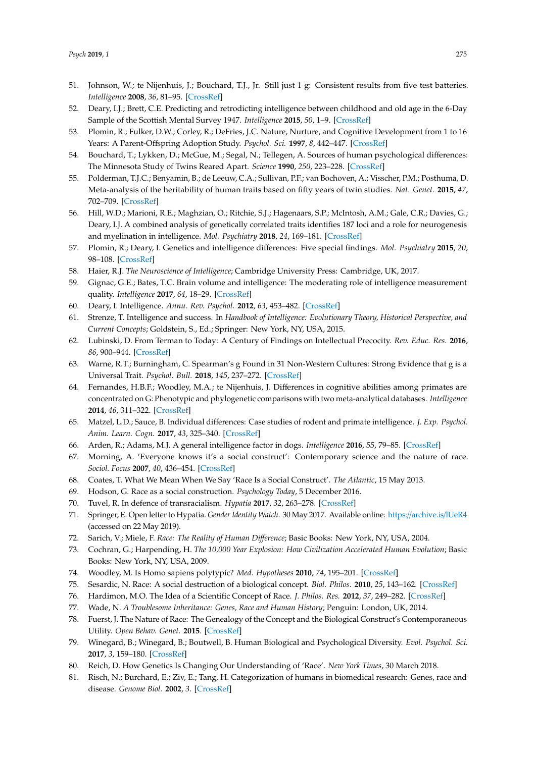- <span id="page-13-0"></span>51. Johnson, W.; te Nijenhuis, J.; Bouchard, T.J., Jr. Still just 1 g: Consistent results from five test batteries. *Intelligence* **2008**, *36*, 81–95. [\[CrossRef\]](http://dx.doi.org/10.1016/j.intell.2007.06.001)
- <span id="page-13-1"></span>52. Deary, I.J.; Brett, C.E. Predicting and retrodicting intelligence between childhood and old age in the 6-Day Sample of the Scottish Mental Survey 1947. *Intelligence* **2015**, *50*, 1–9. [\[CrossRef\]](http://dx.doi.org/10.1016/j.intell.2015.02.002)
- <span id="page-13-2"></span>53. Plomin, R.; Fulker, D.W.; Corley, R.; DeFries, J.C. Nature, Nurture, and Cognitive Development from 1 to 16 Years: A Parent-Offspring Adoption Study. *Psychol. Sci.* **1997**, *8*, 442–447. [\[CrossRef\]](http://dx.doi.org/10.1111/j.1467-9280.1997.tb00458.x)
- 54. Bouchard, T.; Lykken, D.; McGue, M.; Segal, N.; Tellegen, A. Sources of human psychological differences: The Minnesota Study of Twins Reared Apart. *Science* **1990**, *250*, 223–228. [\[CrossRef\]](http://dx.doi.org/10.1126/science.2218526)
- <span id="page-13-25"></span>55. Polderman, T.J.C.; Benyamin, B.; de Leeuw, C.A.; Sullivan, P.F.; van Bochoven, A.; Visscher, P.M.; Posthuma, D. Meta-analysis of the heritability of human traits based on fifty years of twin studies. *Nat. Genet.* **2015**, *47*, 702–709. [\[CrossRef\]](http://dx.doi.org/10.1038/ng.3285)
- <span id="page-13-3"></span>56. Hill, W.D.; Marioni, R.E.; Maghzian, O.; Ritchie, S.J.; Hagenaars, S.P.; McIntosh, A.M.; Gale, C.R.; Davies, G.; Deary, I.J. A combined analysis of genetically correlated traits identifies 187 loci and a role for neurogenesis and myelination in intelligence. *Mol. Psychiatry* **2018**, *24*, 169–181. [\[CrossRef\]](http://dx.doi.org/10.1038/s41380-017-0001-5)
- <span id="page-13-4"></span>57. Plomin, R.; Deary, I. Genetics and intelligence differences: Five special findings. *Mol. Psychiatry* **2015**, *20*, 98–108. [\[CrossRef\]](http://dx.doi.org/10.1038/mp.2014.105)
- <span id="page-13-5"></span>58. Haier, R.J. *The Neuroscience of Intelligence*; Cambridge University Press: Cambridge, UK, 2017.
- <span id="page-13-6"></span>59. Gignac, G.E.; Bates, T.C. Brain volume and intelligence: The moderating role of intelligence measurement quality. *Intelligence* **2017**, *64*, 18–29. [\[CrossRef\]](http://dx.doi.org/10.1016/j.intell.2017.06.004)
- <span id="page-13-7"></span>60. Deary, I. Intelligence. *Annu. Rev. Psychol.* **2012**, *63*, 453–482. [\[CrossRef\]](http://dx.doi.org/10.1146/annurev-psych-120710-100353)
- <span id="page-13-8"></span>61. Strenze, T. Intelligence and success. In *Handbook of Intelligence: Evolutionary Theory, Historical Perspective, and Current Concepts*; Goldstein, S., Ed.; Springer: New York, NY, USA, 2015.
- <span id="page-13-9"></span>62. Lubinski, D. From Terman to Today: A Century of Findings on Intellectual Precocity. *Rev. Educ. Res.* **2016**, *86*, 900–944. [\[CrossRef\]](http://dx.doi.org/10.3102/0034654316675476)
- <span id="page-13-10"></span>63. Warne, R.T.; Burningham, C. Spearman's g Found in 31 Non-Western Cultures: Strong Evidence that g is a Universal Trait. *Psychol. Bull.* **2018**, *145*, 237–272. [\[CrossRef\]](http://dx.doi.org/10.1037/bul0000184)
- <span id="page-13-11"></span>64. Fernandes, H.B.F.; Woodley, M.A.; te Nijenhuis, J. Differences in cognitive abilities among primates are concentrated on G: Phenotypic and phylogenetic comparisons with two meta-analytical databases. *Intelligence* **2014**, *46*, 311–322. [\[CrossRef\]](http://dx.doi.org/10.1016/j.intell.2014.07.007)
- 65. Matzel, L.D.; Sauce, B. Individual differences: Case studies of rodent and primate intelligence. *J. Exp. Psychol. Anim. Learn. Cogn.* **2017**, *43*, 325–340. [\[CrossRef\]](http://dx.doi.org/10.1037/xan0000152)
- <span id="page-13-12"></span>66. Arden, R.; Adams, M.J. A general intelligence factor in dogs. *Intelligence* **2016**, *55*, 79–85. [\[CrossRef\]](http://dx.doi.org/10.1016/j.intell.2016.01.008)
- <span id="page-13-13"></span>67. Morning, A. 'Everyone knows it's a social construct': Contemporary science and the nature of race. *Sociol. Focus* **2007**, *40*, 436–454. [\[CrossRef\]](http://dx.doi.org/10.1080/00380237.2007.10571319)
- <span id="page-13-14"></span>68. Coates, T. What We Mean When We Say 'Race Is a Social Construct'. *The Atlantic*, 15 May 2013.
- <span id="page-13-15"></span>69. Hodson, G. Race as a social construction. *Psychology Today*, 5 December 2016.
- <span id="page-13-16"></span>70. Tuvel, R. In defence of transracialism. *Hypatia* **2017**, *32*, 263–278. [\[CrossRef\]](http://dx.doi.org/10.1111/hypa.12327)
- <span id="page-13-17"></span>71. Springer, E. Open letter to Hypatia. *Gender Identity Watch*. 30 May 2017. Available online: https://[archive.is](https://archive.is/lUeR4)/lUeR4 (accessed on 22 May 2019).
- <span id="page-13-18"></span>72. Sarich, V.; Miele, F. *Race: The Reality of Human Di*ff*erence*; Basic Books: New York, NY, USA, 2004.
- <span id="page-13-24"></span>73. Cochran, G.; Harpending, H. *The 10,000 Year Explosion: How Civilization Accelerated Human Evolution*; Basic Books: New York, NY, USA, 2009.
- <span id="page-13-23"></span><span id="page-13-20"></span>74. Woodley, M. Is Homo sapiens polytypic? *Med. Hypotheses* **2010**, *74*, 195–201. [\[CrossRef\]](http://dx.doi.org/10.1016/j.mehy.2009.07.046)
- 75. Sesardic, N. Race: A social destruction of a biological concept. *Biol. Philos.* **2010**, *25*, 143–162. [\[CrossRef\]](http://dx.doi.org/10.1007/s10539-009-9193-7)
- 76. Hardimon, M.O. The Idea of a Scientific Concept of Race. *J. Philos. Res.* **2012**, *37*, 249–282. [\[CrossRef\]](http://dx.doi.org/10.5840/jpr20123713)
- 77. Wade, N. *A Troublesome Inheritance: Genes, Race and Human History*; Penguin: London, UK, 2014.
- <span id="page-13-21"></span>78. Fuerst, J. The Nature of Race: The Genealogy of the Concept and the Biological Construct's Contemporaneous Utility. *Open Behav. Genet.* **2015**. [\[CrossRef\]](http://dx.doi.org/10.26775/OBG.2015.06.18)
- <span id="page-13-22"></span>79. Winegard, B.; Winegard, B.; Boutwell, B. Human Biological and Psychological Diversity. *Evol. Psychol. Sci.* **2017**, *3*, 159–180. [\[CrossRef\]](http://dx.doi.org/10.1007/s40806-016-0081-5)
- 80. Reich, D. How Genetics Is Changing Our Understanding of 'Race'. *New York Times*, 30 March 2018.
- <span id="page-13-19"></span>81. Risch, N.; Burchard, E.; Ziv, E.; Tang, H. Categorization of humans in biomedical research: Genes, race and disease. *Genome Biol.* **2002**, *3*. [\[CrossRef\]](http://dx.doi.org/10.1186/gb-2002-3-7-comment2007)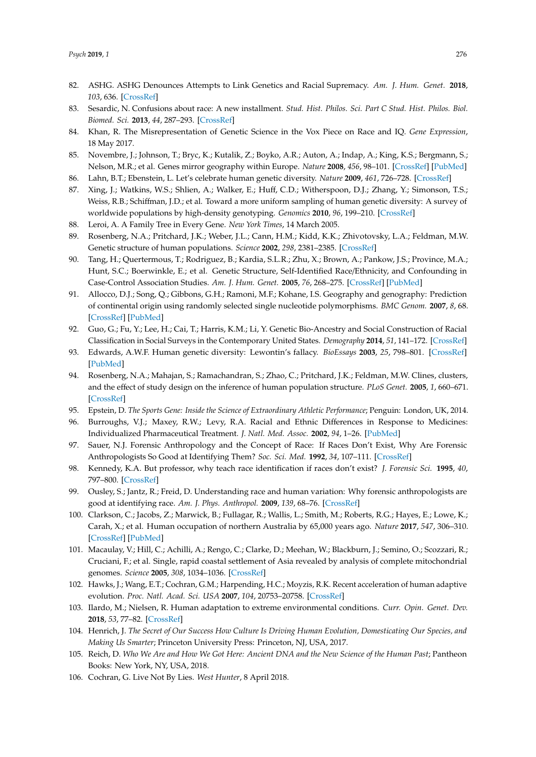- <span id="page-14-0"></span>82. ASHG. ASHG Denounces Attempts to Link Genetics and Racial Supremacy. *Am. J. Hum. Genet.* **2018**, *103*, 636. [\[CrossRef\]](http://dx.doi.org/10.1016/j.ajhg.2018.10.011)
- <span id="page-14-1"></span>83. Sesardic, N. Confusions about race: A new installment. *Stud. Hist. Philos. Sci. Part C Stud. Hist. Philos. Biol. Biomed. Sci.* **2013**, *44*, 287–293. [\[CrossRef\]](http://dx.doi.org/10.1016/j.shpsc.2013.03.005)
- <span id="page-14-2"></span>84. Khan, R. The Misrepresentation of Genetic Science in the Vox Piece on Race and IQ. *Gene Expression*, 18 May 2017.
- <span id="page-14-3"></span>85. Novembre, J.; Johnson, T.; Bryc, K.; Kutalik, Z.; Boyko, A.R.; Auton, A.; Indap, A.; King, K.S.; Bergmann, S.; Nelson, M.R.; et al. Genes mirror geography within Europe. *Nature* **2008**, *456*, 98–101. [\[CrossRef\]](http://dx.doi.org/10.1038/nature07331) [\[PubMed\]](http://www.ncbi.nlm.nih.gov/pubmed/18758442)
- <span id="page-14-5"></span><span id="page-14-4"></span>86. Lahn, B.T.; Ebenstein, L. Let's celebrate human genetic diversity. *Nature* **2009**, *461*, 726–728. [\[CrossRef\]](http://dx.doi.org/10.1038/461726a)
- 87. Xing, J.; Watkins, W.S.; Shlien, A.; Walker, E.; Huff, C.D.; Witherspoon, D.J.; Zhang, Y.; Simonson, T.S.; Weiss, R.B.; Schiffman, J.D.; et al. Toward a more uniform sampling of human genetic diversity: A survey of worldwide populations by high-density genotyping. *Genomics* **2010**, *96*, 199–210. [\[CrossRef\]](http://dx.doi.org/10.1016/j.ygeno.2010.07.004)
- <span id="page-14-6"></span>88. Leroi, A. A Family Tree in Every Gene. *New York Times*, 14 March 2005.
- <span id="page-14-7"></span>89. Rosenberg, N.A.; Pritchard, J.K.; Weber, J.L.; Cann, H.M.; Kidd, K.K.; Zhivotovsky, L.A.; Feldman, M.W. Genetic structure of human populations. *Science* **2002**, *298*, 2381–2385. [\[CrossRef\]](http://dx.doi.org/10.1126/science.1078311)
- <span id="page-14-11"></span>90. Tang, H.; Quertermous, T.; Rodriguez, B.; Kardia, S.L.R.; Zhu, X.; Brown, A.; Pankow, J.S.; Province, M.A.; Hunt, S.C.; Boerwinkle, E.; et al. Genetic Structure, Self-Identified Race/Ethnicity, and Confounding in Case-Control Association Studies. *Am. J. Hum. Genet.* **2005**, *76*, 268–275. [\[CrossRef\]](http://dx.doi.org/10.1086/427888) [\[PubMed\]](http://www.ncbi.nlm.nih.gov/pubmed/15625622)
- 91. Allocco, D.J.; Song, Q.; Gibbons, G.H.; Ramoni, M.F.; Kohane, I.S. Geography and genography: Prediction of continental origin using randomly selected single nucleotide polymorphisms. *BMC Genom.* **2007**, *8*, 68. [\[CrossRef\]](http://dx.doi.org/10.1186/1471-2164-8-68) [\[PubMed\]](http://www.ncbi.nlm.nih.gov/pubmed/17349058)
- <span id="page-14-8"></span>92. Guo, G.; Fu, Y.; Lee, H.; Cai, T.; Harris, K.M.; Li, Y. Genetic Bio-Ancestry and Social Construction of Racial Classification in Social Surveys in the Contemporary United States. *Demography* **2014**, *51*, 141–172. [\[CrossRef\]](http://dx.doi.org/10.1007/s13524-013-0242-0)
- <span id="page-14-9"></span>93. Edwards, A.W.F. Human genetic diversity: Lewontin's fallacy. *BioEssays* **2003**, *25*, 798–801. [\[CrossRef\]](http://dx.doi.org/10.1002/bies.10315) [\[PubMed\]](http://www.ncbi.nlm.nih.gov/pubmed/12879450)
- <span id="page-14-10"></span>94. Rosenberg, N.A.; Mahajan, S.; Ramachandran, S.; Zhao, C.; Pritchard, J.K.; Feldman, M.W. Clines, clusters, and the effect of study design on the inference of human population structure. *PLoS Genet.* **2005**, *1*, 660–671. [\[CrossRef\]](http://dx.doi.org/10.1371/journal.pgen.0010070)
- <span id="page-14-12"></span>95. Epstein, D. *The Sports Gene: Inside the Science of Extraordinary Athletic Performance*; Penguin: London, UK, 2014.
- <span id="page-14-13"></span>96. Burroughs, V.J.; Maxey, R.W.; Levy, R.A. Racial and Ethnic Differences in Response to Medicines: Individualized Pharmaceutical Treatment. *J. Natl. Med. Assoc.* **2002**, *94*, 1–26. [\[PubMed\]](http://www.ncbi.nlm.nih.gov/pubmed/12401060)
- <span id="page-14-14"></span>97. Sauer, N.J. Forensic Anthropology and the Concept of Race: If Races Don't Exist, Why Are Forensic Anthropologists So Good at Identifying Them? *Soc. Sci. Med.* **1992**, *34*, 107–111. [\[CrossRef\]](http://dx.doi.org/10.1016/0277-9536(92)90086-6)
- 98. Kennedy, K.A. But professor, why teach race identification if races don't exist? *J. Forensic Sci.* **1995**, *40*, 797–800. [\[CrossRef\]](http://dx.doi.org/10.1520/JFS15386J)
- <span id="page-14-15"></span>99. Ousley, S.; Jantz, R.; Freid, D. Understanding race and human variation: Why forensic anthropologists are good at identifying race. *Am. J. Phys. Anthropol.* **2009**, *139*, 68–76. [\[CrossRef\]](http://dx.doi.org/10.1002/ajpa.21006)
- <span id="page-14-16"></span>100. Clarkson, C.; Jacobs, Z.; Marwick, B.; Fullagar, R.; Wallis, L.; Smith, M.; Roberts, R.G.; Hayes, E.; Lowe, K.; Carah, X.; et al. Human occupation of northern Australia by 65,000 years ago. *Nature* **2017**, *547*, 306–310. [\[CrossRef\]](http://dx.doi.org/10.1038/nature22968) [\[PubMed\]](http://www.ncbi.nlm.nih.gov/pubmed/28726833)
- <span id="page-14-17"></span>101. Macaulay, V.; Hill, C.; Achilli, A.; Rengo, C.; Clarke, D.; Meehan, W.; Blackburn, J.; Semino, O.; Scozzari, R.; Cruciani, F.; et al. Single, rapid coastal settlement of Asia revealed by analysis of complete mitochondrial genomes. *Science* **2005**, *308*, 1034–1036. [\[CrossRef\]](http://dx.doi.org/10.1126/science.1109792)
- <span id="page-14-18"></span>102. Hawks, J.; Wang, E.T.; Cochran, G.M.; Harpending, H.C.; Moyzis, R.K. Recent acceleration of human adaptive evolution. *Proc. Natl. Acad. Sci. USA* **2007**, *104*, 20753–20758. [\[CrossRef\]](http://dx.doi.org/10.1073/pnas.0707650104)
- <span id="page-14-19"></span>103. Ilardo, M.; Nielsen, R. Human adaptation to extreme environmental conditions. *Curr. Opin. Genet. Dev.* **2018**, *53*, 77–82. [\[CrossRef\]](http://dx.doi.org/10.1016/j.gde.2018.07.003)
- <span id="page-14-20"></span>104. Henrich, J. *The Secret of Our Success How Culture Is Driving Human Evolution, Domesticating Our Species, and Making Us Smarter*; Princeton University Press: Princeton, NJ, USA, 2017.
- <span id="page-14-21"></span>105. Reich, D. *Who We Are and How We Got Here: Ancient DNA and the New Science of the Human Past*; Pantheon Books: New York, NY, USA, 2018.
- <span id="page-14-22"></span>106. Cochran, G. Live Not By Lies. *West Hunter*, 8 April 2018.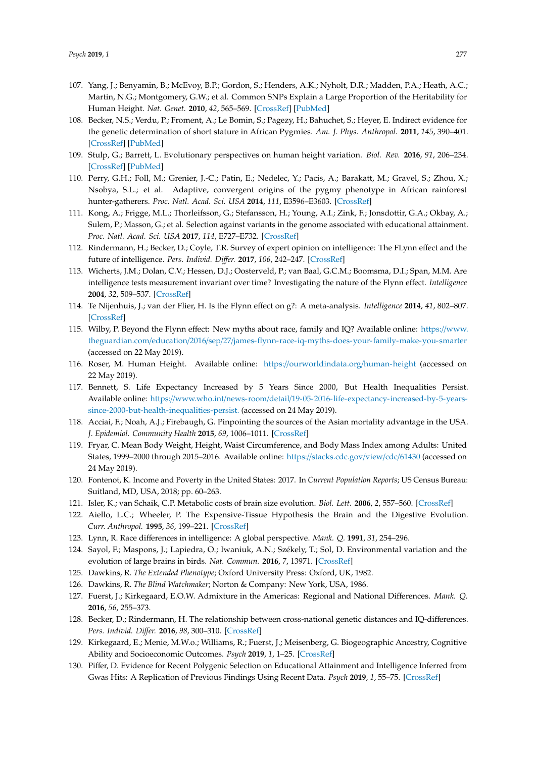- <span id="page-15-0"></span>107. Yang, J.; Benyamin, B.; McEvoy, B.P.; Gordon, S.; Henders, A.K.; Nyholt, D.R.; Madden, P.A.; Heath, A.C.; Martin, N.G.; Montgomery, G.W.; et al. Common SNPs Explain a Large Proportion of the Heritability for Human Height. *Nat. Genet.* **2010**, *42*, 565–569. [\[CrossRef\]](http://dx.doi.org/10.1038/ng.608) [\[PubMed\]](http://www.ncbi.nlm.nih.gov/pubmed/20562875)
- <span id="page-15-1"></span>108. Becker, N.S.; Verdu, P.; Froment, A.; Le Bomin, S.; Pagezy, H.; Bahuchet, S.; Heyer, E. Indirect evidence for the genetic determination of short stature in African Pygmies. *Am. J. Phys. Anthropol.* **2011**, *145*, 390–401. [\[CrossRef\]](http://dx.doi.org/10.1002/ajpa.21512) [\[PubMed\]](http://www.ncbi.nlm.nih.gov/pubmed/21541921)
- 109. Stulp, G.; Barrett, L. Evolutionary perspectives on human height variation. *Biol. Rev.* **2016**, *91*, 206–234. [\[CrossRef\]](http://dx.doi.org/10.1111/brv.12165) [\[PubMed\]](http://www.ncbi.nlm.nih.gov/pubmed/25530478)
- <span id="page-15-2"></span>110. Perry, G.H.; Foll, M.; Grenier, J.-C.; Patin, E.; Nedelec, Y.; Pacis, A.; Barakatt, M.; Gravel, S.; Zhou, X.; Nsobya, S.L.; et al. Adaptive, convergent origins of the pygmy phenotype in African rainforest hunter-gatherers. *Proc. Natl. Acad. Sci. USA* **2014**, *111*, E3596–E3603. [\[CrossRef\]](http://dx.doi.org/10.1073/pnas.1402875111)
- <span id="page-15-3"></span>111. Kong, A.; Frigge, M.L.; Thorleifsson, G.; Stefansson, H.; Young, A.I.; Zink, F.; Jonsdottir, G.A.; Okbay, A.; Sulem, P.; Masson, G.; et al. Selection against variants in the genome associated with educational attainment. *Proc. Natl. Acad. Sci. USA* **2017**, *114*, E727–E732. [\[CrossRef\]](http://dx.doi.org/10.1073/pnas.1612113114)
- <span id="page-15-4"></span>112. Rindermann, H.; Becker, D.; Coyle, T.R. Survey of expert opinion on intelligence: The FLynn effect and the future of intelligence. *Pers. Individ. Di*ff*er.* **2017**, *106*, 242–247. [\[CrossRef\]](http://dx.doi.org/10.1016/j.paid.2016.10.061)
- <span id="page-15-5"></span>113. Wicherts, J.M.; Dolan, C.V.; Hessen, D.J.; Oosterveld, P.; van Baal, G.C.M.; Boomsma, D.I.; Span, M.M. Are intelligence tests measurement invariant over time? Investigating the nature of the Flynn effect. *Intelligence* **2004**, *32*, 509–537. [\[CrossRef\]](http://dx.doi.org/10.1016/j.intell.2004.07.002)
- 114. Te Nijenhuis, J.; van der Flier, H. Is the Flynn effect on g?: A meta-analysis. *Intelligence* **2014**, *41*, 802–807. [\[CrossRef\]](http://dx.doi.org/10.1016/j.intell.2013.03.001)
- <span id="page-15-6"></span>115. Wilby, P. Beyond the Flynn effect: New myths about race, family and IQ? Available online: https://[www.](https://www.theguardian.com/education/2016/sep/27/james-flynn-race-iq-myths-does-your-family-make-you-smarter) theguardian.com/education/2016/sep/27/[james-flynn-race-iq-myths-does-your-family-make-you-smarter](https://www.theguardian.com/education/2016/sep/27/james-flynn-race-iq-myths-does-your-family-make-you-smarter) (accessed on 22 May 2019).
- <span id="page-15-7"></span>116. Roser, M. Human Height. Available online: https://[ourworldindata.org](https://ourworldindata.org/human-height)/human-height (accessed on 22 May 2019).
- <span id="page-15-8"></span>117. Bennett, S. Life Expectancy Increased by 5 Years Since 2000, But Health Inequalities Persist. Available online: https://www.who.int/news-room/detail/[19-05-2016-life-expectancy-increased-by-5-years](https://www.who.int/news-room/detail/19-05-2016-life-expectancy-increased-by-5-years-since-2000-but-health-inequalities-persist.)[since-2000-but-health-inequalities-persist.](https://www.who.int/news-room/detail/19-05-2016-life-expectancy-increased-by-5-years-since-2000-but-health-inequalities-persist.) (accessed on 24 May 2019).
- <span id="page-15-9"></span>118. Acciai, F.; Noah, A.J.; Firebaugh, G. Pinpointing the sources of the Asian mortality advantage in the USA. *J. Epidemiol. Community Health* **2015**, *69*, 1006–1011. [\[CrossRef\]](http://dx.doi.org/10.1136/jech-2015-205623)
- 119. Fryar, C. Mean Body Weight, Height, Waist Circumference, and Body Mass Index among Adults: United States, 1999–2000 through 2015–2016. Available online: https://[stacks.cdc.gov](https://stacks.cdc.gov/view/cdc/61430)/view/cdc/61430 (accessed on 24 May 2019).
- <span id="page-15-10"></span>120. Fontenot, K. Income and Poverty in the United States: 2017. In *Current Population Reports*; US Census Bureau: Suitland, MD, USA, 2018; pp. 60–263.
- <span id="page-15-11"></span>121. Isler, K.; van Schaik, C.P. Metabolic costs of brain size evolution. *Biol. Lett.* **2006**, *2*, 557–560. [\[CrossRef\]](http://dx.doi.org/10.1098/rsbl.2006.0538)
- <span id="page-15-12"></span>122. Aiello, L.C.; Wheeler, P. The Expensive-Tissue Hypothesis the Brain and the Digestive Evolution. *Curr. Anthropol.* **1995**, *36*, 199–221. [\[CrossRef\]](http://dx.doi.org/10.1086/204350)
- <span id="page-15-13"></span>123. Lynn, R. Race differences in intelligence: A global perspective. *Mank. Q.* **1991**, *31*, 254–296.
- <span id="page-15-14"></span>124. Sayol, F.; Maspons, J.; Lapiedra, O.; Iwaniuk, A.N.; Székely, T.; Sol, D. Environmental variation and the evolution of large brains in birds. *Nat. Commun.* **2016**, *7*, 13971. [\[CrossRef\]](http://dx.doi.org/10.1038/ncomms13971)
- <span id="page-15-16"></span><span id="page-15-15"></span>125. Dawkins, R. *The Extended Phenotype*; Oxford University Press: Oxford, UK, 1982.
- 126. Dawkins, R. *The Blind Watchmaker*; Norton & Company: New York, USA, 1986.
- <span id="page-15-17"></span>127. Fuerst, J.; Kirkegaard, E.O.W. Admixture in the Americas: Regional and National Differences. *Mank. Q.* **2016**, *56*, 255–373.
- 128. Becker, D.; Rindermann, H. The relationship between cross-national genetic distances and IQ-differences. *Pers. Individ. Di*ff*er.* **2016**, *98*, 300–310. [\[CrossRef\]](http://dx.doi.org/10.1016/j.paid.2016.03.050)
- 129. Kirkegaard, E.; Menie, M.W.o.; Williams, R.; Fuerst, J.; Meisenberg, G. Biogeographic Ancestry, Cognitive Ability and Socioeconomic Outcomes. *Psych* **2019**, *1*, 1–25. [\[CrossRef\]](http://dx.doi.org/10.3390/psych1010001)
- 130. Piffer, D. Evidence for Recent Polygenic Selection on Educational Attainment and Intelligence Inferred from Gwas Hits: A Replication of Previous Findings Using Recent Data. *Psych* **2019**, *1*, 55–75. [\[CrossRef\]](http://dx.doi.org/10.3390/psych1010005)